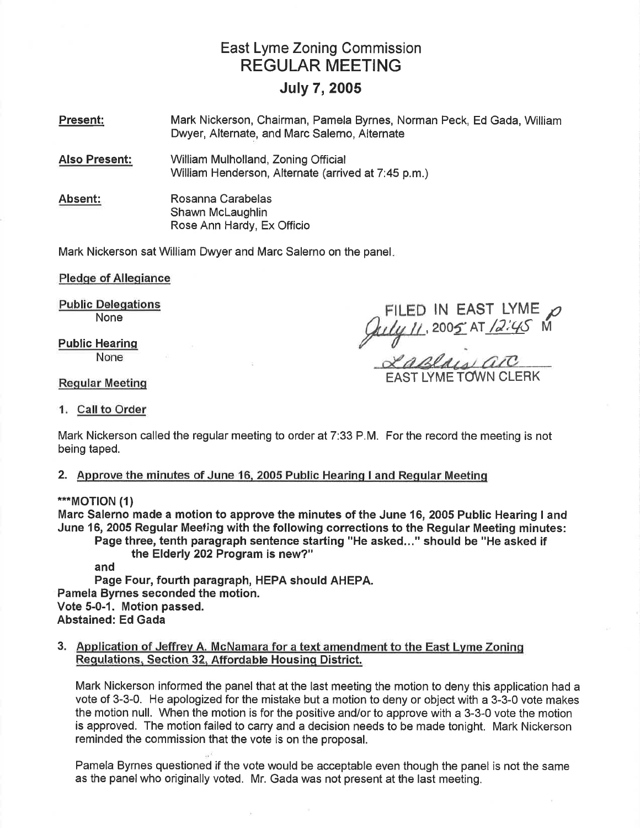# East Lyme Zoning Commission REGULAR MEETING

# July 7,2005

Mark Nickerson, Chairman, Pamela Byrnes, Norman Peck, Ed Gada, William Dwyer, Alternate, and Marc Salemo, Alternate Present:

William Mulholland, Zoning Official William Henderson, Alternate (arrived at 7:45 p.m.) Also Present:

Rosanna Carabelas Shawn McLaughlin Rose Ann Hardy, Ex Officio Absent:

Mark Nickerson sat William Dwyer and Marc Salerno on the panel

Pledqe of Alleqiance

Public Deleqations

Public Hearinq None

# Regular Meetins

Delegations<br>None 2016 TILED IN EAST LYME M FILED<br>July 11 IN EAST LYME , 2005 AT /2:45

EAST LYME TOWN CLERK

1. Call to Order

Mark Nickerson called the regular meeting to order at 7:33 P.M. For the record the meeting is not being taped.

# 2. Approve the minutes of June 16. 2005 Public Hearinq I and Reqular Meetins

## \*\*\*MOTION (1)

Marc Salerno made a motion to approve the minutes of the June 16, 2005 Public Hearing I and June 16, 2005 Regular Meeting with the following corrections to the Regular Meeting minutes: Page three, tenth paragraph sentence starting "He asked..." should be "He asked if the Elderly 202 Program is new?" and Page Four, fourth paragraph, HEPA should AHEPA.

Pamela Byrnes seconded the motioh. Vote 5-0-1. Motion passed. Abstained: Ed Gada

## 3. Application of Jeffrev A. McNamara for a text amendment to the East Lvme Zonins Regulations, Section 32, Affordable Housing District.

Mark Nickerson informed the panel that at the last meeting the motion to deny this application had a vote of 3-3-0. He apologized for the mistake but a motion to deny or object with a 3-3-0 vote makes the motion null. When the motion is for the positive and/or to approve with a 3-3-0 vote the motion is approved. The motion failed to carry and a decision needs to be made tonight. Mark Nickerson reminded the commission that the vote is on the proposal.

Pamela Byrnes questioned if the vote would be acceptable even though the panel is not the same as the panelwho originally voted. Mr. Gada was not present at the last meeting.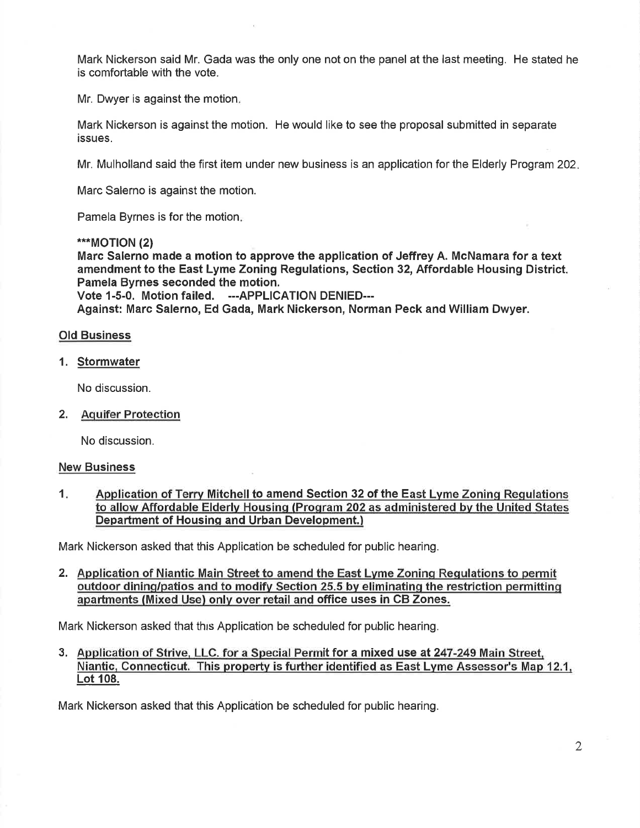Mark Nickerson said Mr. Gada was the only one not on the panel at the last meeting. He stated he is comfortable with the vote.

Mr. Dwyer is against the motion

Mark Nickerson is against the motion. He would like to see the proposal submitted in separate issues.

Mr. Mulholland said the first item under new business is an application for the Elderly Program 202

Marc Salerno is against the motion.

Pamela Byrnes is for the motion

\*\*\*MOTION (2)

Marc Salerno made a motion to approve the application of Jeffrey A. McNamara for a text amendment to the East Lyme Zoning Regulations, Section 32, Affordable Housing District. Pamela Byrnes seconded the motion.

Vote 1-5-0. Motion failed. ---APPLICATION DENIED--- Against: Marc Salerno, Ed Gada, Mark Nickerson, Norman Peck and William Dwyer.

#### Old Business

1. Stormwater

No discussion.

2. Aquifer Protection

No discussion.

#### New Business

1. Application of Terry Mitchell to amend Section 32 of the East Lyme Zoning Regulations to allow Affordable Elderly Housing (Program 202 as administered by the United States Department of Housinq and Urban Development.)

Mark Nickerson asked that this Application be scheduled for public hearing.

2. Application of Niantic Main Street to amend the East Lvme Zoninq Requlations to permit outdoor dining/patios and to modify Section 25.5 by eliminating the restriction permitting apartments (Mixed Use) onlv over retail and office uses in CB Zones.

Mark Nickerson asked that this Application be scheduled for public hearing.

3. Application of Strive. LLC. for a Special Permit for a mixed use at 247-249 Main Street. Niantic, Connecticut. This property is further identified as East Lyme Assessor's Map 12.1, Lot 108.

Mark Nickerson asked that this Application be scheduled for public hearing.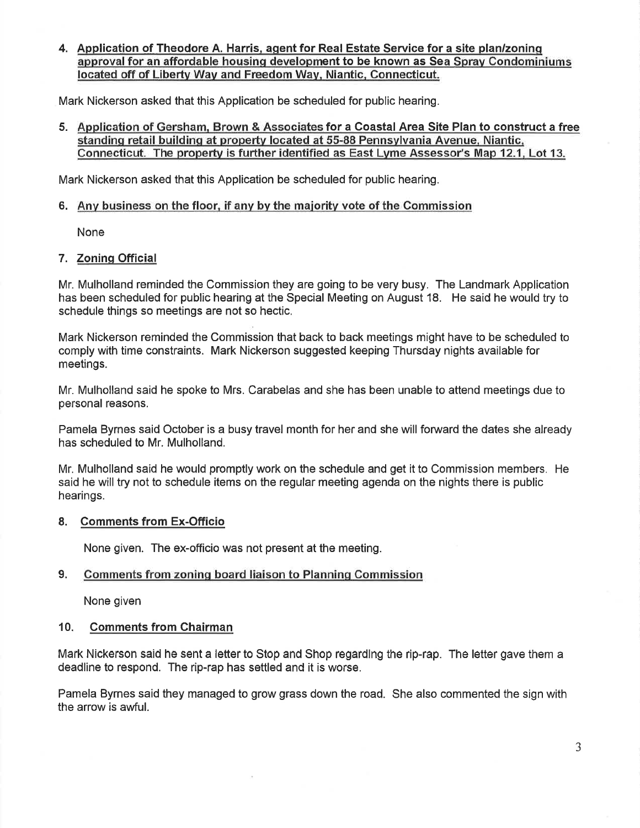4. Application of Theodore A. Harris, agent for Real Estate Service for a site plan/zoninq approval for an affordable housing development to be known as Sea Spray Condominiums located off of Libertv Wav and Freedom Wav. Niantic. Connecticut.

Mark Nickerson asked that this Application be scheduled for public hearing.

5. Application of Gersham. Brown & Associates for a Coastal Area Site Plan to construct a free standing retail building at property located at 55-88 Pennsylvania Avenue, Niantic. Gonnecticut. The propertv is further identified as East Lvme Assessor's Map 12.1. Lot 13.

Mark Nickerson asked that this Application be scheduled for public hearing.

## 6. Anv business on the floor. if anv bv the maioritv vote of the Commission

None

# 7. Zoninq Official

Mr. Mulholland reminded the Commission they are going to be very busy. The Landmark Application has been scheduled for public hearing at the Special Meeting on August 18. He said he would try to schedule things so meetings are not so hectic.

Mark Nickerson reminded the Commission that back to back meetings might have to be scheduled to comply with time constraints. Mark Nickerson suggested keeping Thursday nights available for meetings.

Mr. Mulholland said he spoke to Mrs. Carabelas and she has been unable to attend meetings due to personal reasons.

Pamela Byrnes said October is a busy travel month for her and she will forward the dates she already has scheduled to Mr. Mulholland.

Mr. Mulholland said he would promptly work on the schedule and get it to Commission members. He said he will try not to schedule items on the regular meeting agenda on the nights there is public hearings.

## 8. Comments from Ex-Officio

None given. The ex-officio was not present at the meeting.

# 9. Comments from zoninq board liaison to Planning Commission

None given

## 10. Comments from Chairman

Mark Nickerson said he sent a letter to Stop and Shop regardlng the rip-rap. The letter gave them a deadline to respond. The rip-rap has settled and it is worse.

Pamela Byrnes said they managed to grow grass down the road. She also commented the sign with the arrow is awful.